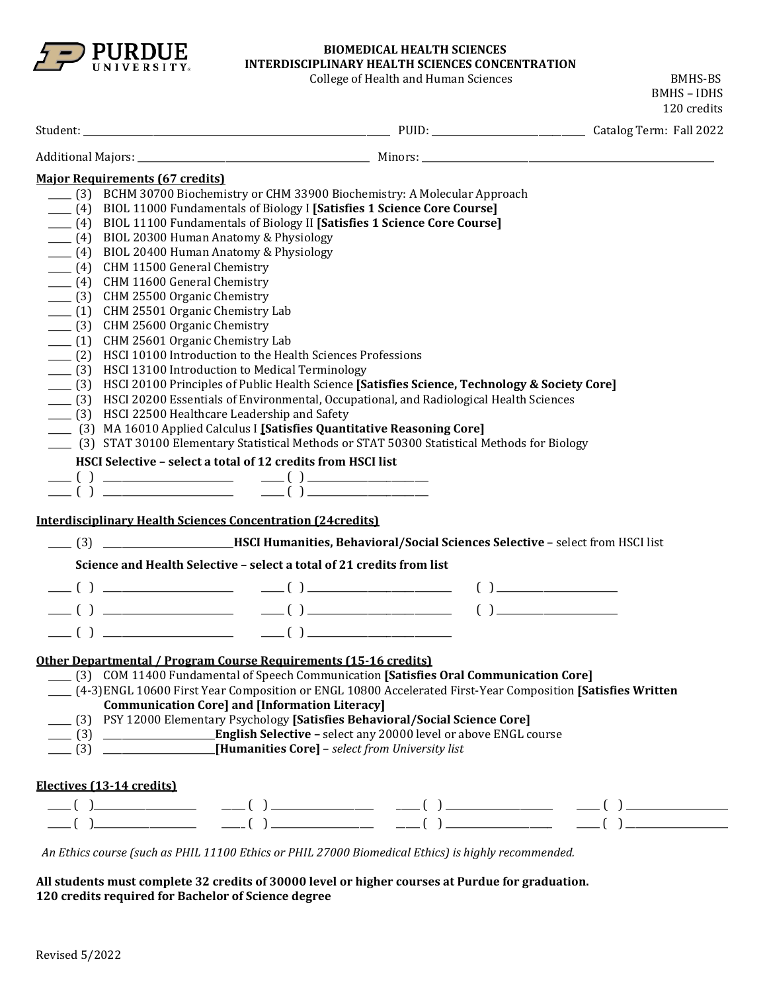

# **BIOMEDICAL HEALTH SCIENCES INTERDISCIPLINARY HEALTH SCIENCES CONCENTRATION**

College of Health and Human Sciences **BMHS-BS** 

BMHS – IDHS 120 credits Student: \_\_\_\_\_\_\_\_\_\_\_\_\_\_\_\_\_\_\_\_\_\_\_\_\_\_\_\_\_\_\_\_\_\_\_\_\_\_\_\_\_\_\_\_\_\_\_\_\_\_\_\_\_\_\_\_\_\_\_\_\_\_\_\_\_\_ PUID: \_\_\_\_\_\_\_\_\_\_\_\_\_\_\_\_\_\_\_\_\_\_\_\_\_\_\_\_\_\_\_\_\_ Catalog Term: Fall 2022 Additional Majors: \_\_\_\_\_\_\_\_\_\_\_\_\_\_\_\_\_\_\_\_\_\_\_\_\_\_\_\_\_\_\_\_\_\_\_\_\_\_\_\_\_\_\_\_\_\_\_\_\_\_ Minors: \_\_\_\_\_\_\_\_\_\_\_\_\_\_\_\_\_\_\_\_\_\_\_\_\_\_\_\_\_\_\_\_\_\_\_\_\_\_\_\_\_\_\_\_\_\_\_\_\_\_\_\_\_\_\_\_\_\_\_\_\_\_\_ **Major Requirements (67 credits)** \_\_\_\_\_ (3) BCHM 30700 Biochemistry or CHM 33900 Biochemistry: A Molecular Approach \_\_\_\_\_ (4) BIOL 11000 Fundamentals of Biology I **[Satisfies 1 Science Core Course]** \_\_\_\_\_ (4) BIOL 11100 Fundamentals of Biology II **[Satisfies 1 Science Core Course]**  $\frac{1}{2}$  (4) BIOL 20300 Human Anatomy & Physiology \_\_\_\_\_ (4) BIOL 20400 Human Anatomy & Physiology \_\_\_\_\_ (4) CHM 11500 General Chemistry \_\_\_\_\_ (4) CHM 11600 General Chemistry \_\_\_\_\_ (3) CHM 25500 Organic Chemistry \_\_\_\_\_ (1) CHM 25501 Organic Chemistry Lab \_\_\_\_\_ (3) CHM 25600 Organic Chemistry \_\_\_\_\_ (1) CHM 25601 Organic Chemistry Lab \_\_\_\_\_ (2) HSCI 10100 Introduction to the Health Sciences Professions \_\_\_\_\_ (3) HSCI 13100 Introduction to Medical Terminology \_\_\_\_\_ (3) HSCI 20100 Principles of Public Health Science **[Satisfies Science, Technology & Society Core]** \_\_\_\_\_ (3) HSCI 20200 Essentials of Environmental, Occupational, and Radiological Health Sciences \_\_\_\_\_ (3) HSCI 22500 Healthcare Leadership and Safety \_\_\_\_\_ (3) MA 16010 Applied Calculus I **[Satisfies Quantitative Reasoning Core]** \_\_\_\_\_ (3) STAT 30100 Elementary Statistical Methods or STAT 50300 Statistical Methods for Biology **HSCI Selective – select a total of 12 credits from HSCI list**  \_\_\_\_\_ ( ) \_\_\_\_\_\_\_\_\_\_\_\_\_\_\_\_\_\_\_\_\_\_\_\_\_\_\_\_ \_\_\_\_\_ ( ) \_\_\_\_\_\_\_\_\_\_\_\_\_\_\_\_\_\_\_\_\_\_\_\_\_\_ \_\_\_\_\_ ( ) \_\_\_\_\_\_\_\_\_\_\_\_\_\_\_\_\_\_\_\_\_\_\_\_\_\_\_\_ \_\_\_\_\_ ( ) \_\_\_\_\_\_\_\_\_\_\_\_\_\_\_\_\_\_\_\_\_\_\_\_\_\_ **Interdisciplinary Health Sciences Concentration (24credits)** \_\_\_\_\_ (3) \_\_\_\_\_\_\_\_\_\_\_\_\_\_\_\_\_\_\_\_\_\_\_\_\_\_\_\_**HSCI Humanities, Behavioral/Social Sciences Selective** – select from HSCI list **Science and Health Selective – select a total of 21 credits from list** \_\_\_\_\_ ( ) \_\_\_\_\_\_\_\_\_\_\_\_\_\_\_\_\_\_\_\_\_\_\_\_\_\_\_\_ \_\_\_\_\_ ( ) \_\_\_\_\_\_\_\_\_\_\_\_\_\_\_\_\_\_\_\_\_\_\_\_\_\_\_\_\_\_\_ ( ) \_\_\_\_\_\_\_\_\_\_\_\_\_\_\_\_\_\_\_\_\_\_\_\_\_\_  $\frac{1}{\sqrt{2\pi}}$  ( )  $\frac{1}{\sqrt{2\pi}}$  ( )  $\frac{1}{\sqrt{2\pi}}$  ( )  $\frac{1}{\sqrt{2\pi}}$  ( )  $\frac{1}{\sqrt{2\pi}}$  $\frac{1}{\sqrt{2}}$  ( )  $\frac{1}{\sqrt{2}}$  ( )  $\frac{1}{\sqrt{2}}$  ( )  $\frac{1}{\sqrt{2}}$  ( )  $\frac{1}{\sqrt{2}}$ **Other Departmental / Program Course Requirements (15-16 credits)** \_\_\_\_\_ (3) COM 11400 Fundamental of Speech Communication **[Satisfies Oral Communication Core]** \_\_\_\_\_ (4-3)ENGL 10600 First Year Composition or ENGL 10800 Accelerated First-Year Composition **[Satisfies Written Communication Core] and [Information Literacy]** \_\_\_\_\_ (3) PSY 12000 Elementary Psychology **[Satisfies Behavioral/Social Science Core]** \_\_\_\_\_ (3) \_\_\_\_\_\_\_\_\_\_\_\_\_\_\_\_\_\_\_\_\_\_\_\_**English Selective –** select any 20000 level or above ENGL course \_\_\_\_\_ (3) \_\_\_\_\_\_\_\_\_\_\_\_\_\_\_\_\_\_\_\_\_\_\_\_**[Humanities Core]** – *select from University list* **Electives (13-14 credits)** \_\_\_\_\_ ( )\_\_\_\_\_\_\_\_\_\_\_\_\_\_\_\_\_\_\_\_\_\_ \_\_\_\_\_ ( ) \_\_\_\_\_\_\_\_\_\_\_\_\_\_\_\_\_\_\_\_\_\_ \_\_\_\_\_ ( ) \_\_\_\_\_\_\_\_\_\_\_\_\_\_\_\_\_\_\_\_\_\_\_ \_\_\_\_\_ ( ) \_\_\_\_\_\_\_\_\_\_\_\_\_\_\_\_\_\_\_\_\_\_ \_\_\_\_\_ ( )\_\_\_\_\_\_\_\_\_\_\_\_\_\_\_\_\_\_\_\_\_\_ \_\_\_\_\_ ( ) \_\_\_\_\_\_\_\_\_\_\_\_\_\_\_\_\_\_\_\_\_\_ \_\_\_\_\_ ( ) \_\_\_\_\_\_\_\_\_\_\_\_\_\_\_\_\_\_\_\_\_\_\_ \_\_\_\_\_ ( ) \_\_\_\_\_\_\_\_\_\_\_\_\_\_\_\_\_\_\_\_\_\_ *An Ethics course (such as PHIL 11100 Ethics or PHIL 27000 Biomedical Ethics) is highly recommended.*

**All students must complete 32 credits of 30000 level or higher courses at Purdue for graduation. 120 credits required for Bachelor of Science degree**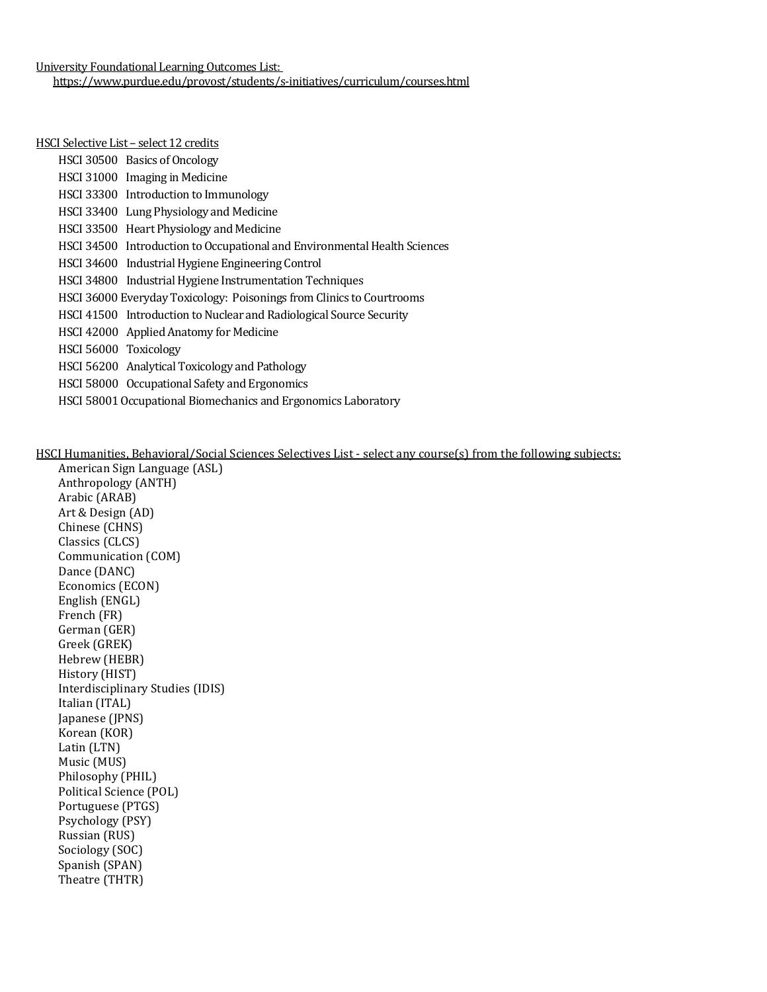University Foundational Learning Outcomes List: <https://www.purdue.edu/provost/students/s-initiatives/curriculum/courses.html>

#### HSCI Selective List – select 12 credits

|                       | HSCI 30500 Basics of Oncology                                             |
|-----------------------|---------------------------------------------------------------------------|
|                       | HSCI 31000 Imaging in Medicine                                            |
|                       | HSCI 33300 Introduction to Immunology                                     |
|                       | HSCI 33400 Lung Physiology and Medicine                                   |
|                       | HSCI 33500 Heart Physiology and Medicine                                  |
|                       | HSCI 34500 Introduction to Occupational and Environmental Health Sciences |
|                       | HSCI 34600 Industrial Hygiene Engineering Control                         |
|                       | HSCI 34800 Industrial Hygiene Instrumentation Techniques                  |
|                       | HSCI 36000 Everyday Toxicology: Poisonings from Clinics to Courtrooms     |
|                       | HSCI 41500 Introduction to Nuclear and Radiological Source Security       |
|                       | HSCI 42000 Applied Anatomy for Medicine                                   |
| HSCI 56000 Toxicology |                                                                           |
|                       | HSCI 56200 Analytical Toxicology and Pathology                            |
|                       | HSCI 58000 Occupational Safety and Ergonomics                             |
|                       | HSCI 58001 Occupational Biomechanics and Ergonomics Laboratory            |
|                       |                                                                           |

HSCI Humanities, Behavioral/Social Sciences Selectives List - select any course(s) from the following subjects:

American Sign Language (ASL) Anthropology (ANTH) Arabic (ARAB) Art & Design (AD) Chinese (CHNS) Classics (CLCS) Communication (COM) Dance (DANC) Economics (ECON) English (ENGL) French (FR) German (GER) Greek (GREK) Hebrew (HEBR) History (HIST) Interdisciplinary Studies (IDIS) Italian (ITAL) Japanese (JPNS) Korean (KOR) Latin (LTN) Music (MUS) Philosophy (PHIL) Political Science (POL) Portuguese (PTGS) Psychology (PSY) Russian (RUS) Sociology (SOC) Spanish (SPAN) Theatre (THTR)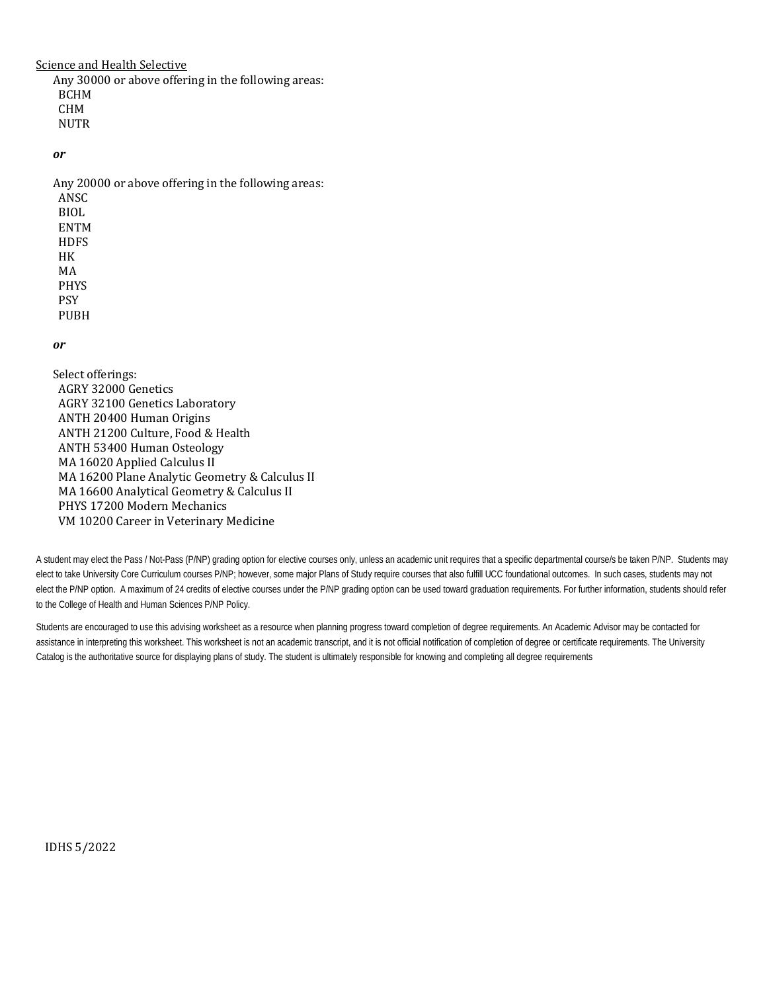Science and Health Selective

Any 30000 or above offering in the following areas: BCHM CHM **NUTR** 

*or* 

Any 20000 or above offering in the following areas: ANSC BIOL ENTM **HDFS** HK MA PHYS PSY PUBH

### *or*

Select offerings: AGRY 32000 Genetics AGRY 32100 Genetics Laboratory ANTH 20400 Human Origins ANTH 21200 Culture, Food & Health ANTH 53400 Human Osteology MA 16020 Applied Calculus II MA 16200 Plane Analytic Geometry & Calculus II MA 16600 Analytical Geometry & Calculus II PHYS 17200 Modern Mechanics VM 10200 Career in Veterinary Medicine

A student may elect the Pass / Not-Pass (P/NP) grading option for elective courses only, unless an academic unit requires that a specific departmental course/s be taken P/NP. Students may elect to take University Core Curriculum courses P/NP; however, some major Plans of Study require courses that also fulfill UCC foundational outcomes. In such cases, students may not elect the P/NP option. A maximum of 24 credits of elective courses under the P/NP grading option can be used toward graduation requirements. For further information, students should refer to the College of Health and Human Sciences P/NP Policy.

Students are encouraged to use this advising worksheet as a resource when planning progress toward completion of degree requirements. An Academic Advisor may be contacted for assistance in interpreting this worksheet. This worksheet is not an academic transcript, and it is not official notification of completion of degree or certificate requirements. The University Catalog is the authoritative source for displaying plans of study. The student is ultimately responsible for knowing and completing all degree requirements

IDHS 5/2022